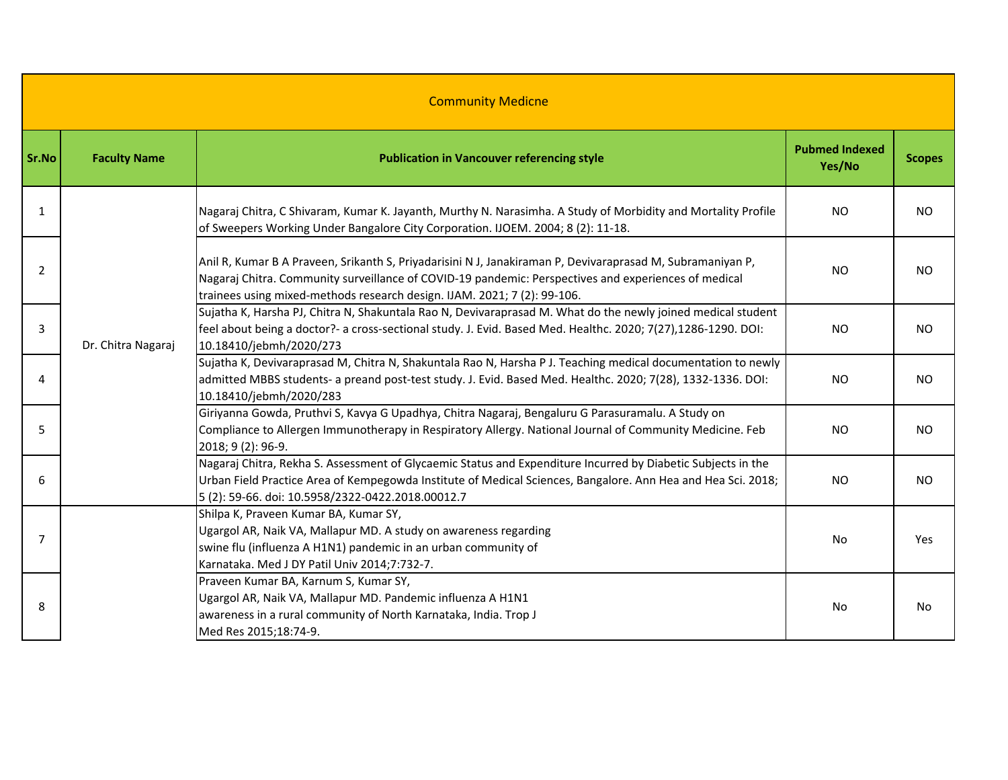| <b>Community Medicne</b> |                     |                                                                                                                                                                                                                                                                                                |                                 |               |  |
|--------------------------|---------------------|------------------------------------------------------------------------------------------------------------------------------------------------------------------------------------------------------------------------------------------------------------------------------------------------|---------------------------------|---------------|--|
| Sr.No                    | <b>Faculty Name</b> | <b>Publication in Vancouver referencing style</b>                                                                                                                                                                                                                                              | <b>Pubmed Indexed</b><br>Yes/No | <b>Scopes</b> |  |
| 1                        |                     | Nagaraj Chitra, C Shivaram, Kumar K. Jayanth, Murthy N. Narasimha. A Study of Morbidity and Mortality Profile<br>of Sweepers Working Under Bangalore City Corporation. IJOEM. 2004; 8 (2): 11-18.                                                                                              | <b>NO</b>                       | NO.           |  |
| $\overline{2}$           |                     | Anil R, Kumar B A Praveen, Srikanth S, Priyadarisini N J, Janakiraman P, Devivaraprasad M, Subramaniyan P,<br>Nagaraj Chitra. Community surveillance of COVID-19 pandemic: Perspectives and experiences of medical<br>trainees using mixed-methods research design. IJAM. 2021; 7 (2): 99-106. | <b>NO</b>                       | <b>NO</b>     |  |
| 3                        | Dr. Chitra Nagaraj  | Sujatha K, Harsha PJ, Chitra N, Shakuntala Rao N, Devivaraprasad M. What do the newly joined medical student<br>feel about being a doctor?- a cross-sectional study. J. Evid. Based Med. Healthc. 2020; 7(27),1286-1290. DOI:<br>10.18410/jebmh/2020/273                                       | <b>NO</b>                       | <b>NO</b>     |  |
| 4                        |                     | Sujatha K, Devivaraprasad M, Chitra N, Shakuntala Rao N, Harsha P J. Teaching medical documentation to newly<br>admitted MBBS students- a preand post-test study. J. Evid. Based Med. Healthc. 2020; 7(28), 1332-1336. DOI:<br>10.18410/jebmh/2020/283                                         | <b>NO</b>                       | NO.           |  |
| 5                        |                     | Giriyanna Gowda, Pruthvi S, Kavya G Upadhya, Chitra Nagaraj, Bengaluru G Parasuramalu. A Study on<br>Compliance to Allergen Immunotherapy in Respiratory Allergy. National Journal of Community Medicine. Feb<br>2018; 9 (2): 96-9.                                                            | <b>NO</b>                       | NO.           |  |
| 6                        |                     | Nagaraj Chitra, Rekha S. Assessment of Glycaemic Status and Expenditure Incurred by Diabetic Subjects in the<br>Urban Field Practice Area of Kempegowda Institute of Medical Sciences, Bangalore. Ann Hea and Hea Sci. 2018;<br>5 (2): 59-66. doi: 10.5958/2322-0422.2018.00012.7              | NO.                             | <b>NO</b>     |  |
| 7                        |                     | Shilpa K, Praveen Kumar BA, Kumar SY,<br>Ugargol AR, Naik VA, Mallapur MD. A study on awareness regarding<br>swine flu (influenza A H1N1) pandemic in an urban community of<br>Karnataka. Med J DY Patil Univ 2014;7:732-7.                                                                    | <b>No</b>                       | Yes           |  |
| 8                        |                     | Praveen Kumar BA, Karnum S, Kumar SY,<br>Ugargol AR, Naik VA, Mallapur MD. Pandemic influenza A H1N1<br>awareness in a rural community of North Karnataka, India. Trop J<br>Med Res 2015;18:74-9.                                                                                              | No                              | No            |  |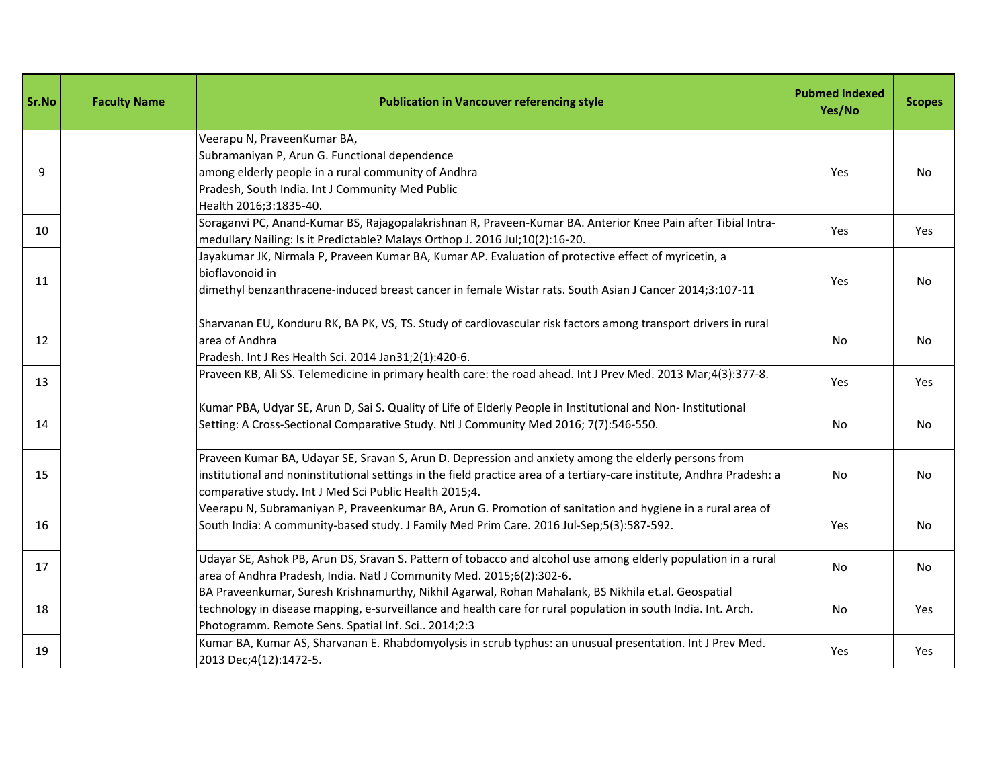| Sr.No | <b>Faculty Name</b> | <b>Publication in Vancouver referencing style</b>                                                                                                                                                                                                                                        | <b>Pubmed Indexed</b><br>Yes/No | <b>Scopes</b> |
|-------|---------------------|------------------------------------------------------------------------------------------------------------------------------------------------------------------------------------------------------------------------------------------------------------------------------------------|---------------------------------|---------------|
| 9     |                     | Veerapu N, PraveenKumar BA,<br>Subramaniyan P, Arun G. Functional dependence<br>among elderly people in a rural community of Andhra<br>Pradesh, South India. Int J Community Med Public<br>Health 2016;3:1835-40.                                                                        | Yes                             | No            |
| 10    |                     | Soraganvi PC, Anand-Kumar BS, Rajagopalakrishnan R, Praveen-Kumar BA. Anterior Knee Pain after Tibial Intra-<br>medullary Nailing: Is it Predictable? Malays Orthop J. 2016 Jul;10(2):16-20.                                                                                             | Yes                             | Yes           |
| 11    |                     | Jayakumar JK, Nirmala P, Praveen Kumar BA, Kumar AP. Evaluation of protective effect of myricetin, a<br>bioflavonoid in<br>dimethyl benzanthracene-induced breast cancer in female Wistar rats. South Asian J Cancer 2014;3:107-11                                                       | Yes                             | No            |
| 12    |                     | Sharvanan EU, Konduru RK, BA PK, VS, TS. Study of cardiovascular risk factors among transport drivers in rural<br>area of Andhra<br>Pradesh. Int J Res Health Sci. 2014 Jan31;2(1):420-6.                                                                                                | No                              | No            |
| 13    |                     | Praveen KB, Ali SS. Telemedicine in primary health care: the road ahead. Int J Prev Med. 2013 Mar;4(3):377-8.                                                                                                                                                                            | Yes                             | Yes           |
| 14    |                     | Kumar PBA, Udyar SE, Arun D, Sai S. Quality of Life of Elderly People in Institutional and Non- Institutional<br>Setting: A Cross-Sectional Comparative Study. Ntl J Community Med 2016; 7(7):546-550.                                                                                   | No                              | No            |
| 15    |                     | Praveen Kumar BA, Udayar SE, Sravan S, Arun D. Depression and anxiety among the elderly persons from<br>institutional and noninstitutional settings in the field practice area of a tertiary-care institute, Andhra Pradesh: a<br>comparative study. Int J Med Sci Public Health 2015;4. | No                              | No.           |
| 16    |                     | Veerapu N, Subramaniyan P, Praveenkumar BA, Arun G. Promotion of sanitation and hygiene in a rural area of<br>South India: A community-based study. J Family Med Prim Care. 2016 Jul-Sep;5(3):587-592.                                                                                   | Yes                             | No            |
| 17    |                     | Udayar SE, Ashok PB, Arun DS, Sravan S. Pattern of tobacco and alcohol use among elderly population in a rural<br>area of Andhra Pradesh, India. Natl J Community Med. 2015;6(2):302-6.                                                                                                  | No                              | No.           |
| 18    |                     | BA Praveenkumar, Suresh Krishnamurthy, Nikhil Agarwal, Rohan Mahalank, BS Nikhila et.al. Geospatial<br>technology in disease mapping, e-surveillance and health care for rural population in south India. Int. Arch.<br>Photogramm. Remote Sens. Spatial Inf. Sci 2014;2:3               | No.                             | Yes           |
| 19    |                     | Kumar BA, Kumar AS, Sharvanan E. Rhabdomyolysis in scrub typhus: an unusual presentation. Int J Prev Med.<br>2013 Dec; 4(12): 1472-5.                                                                                                                                                    | Yes                             | Yes           |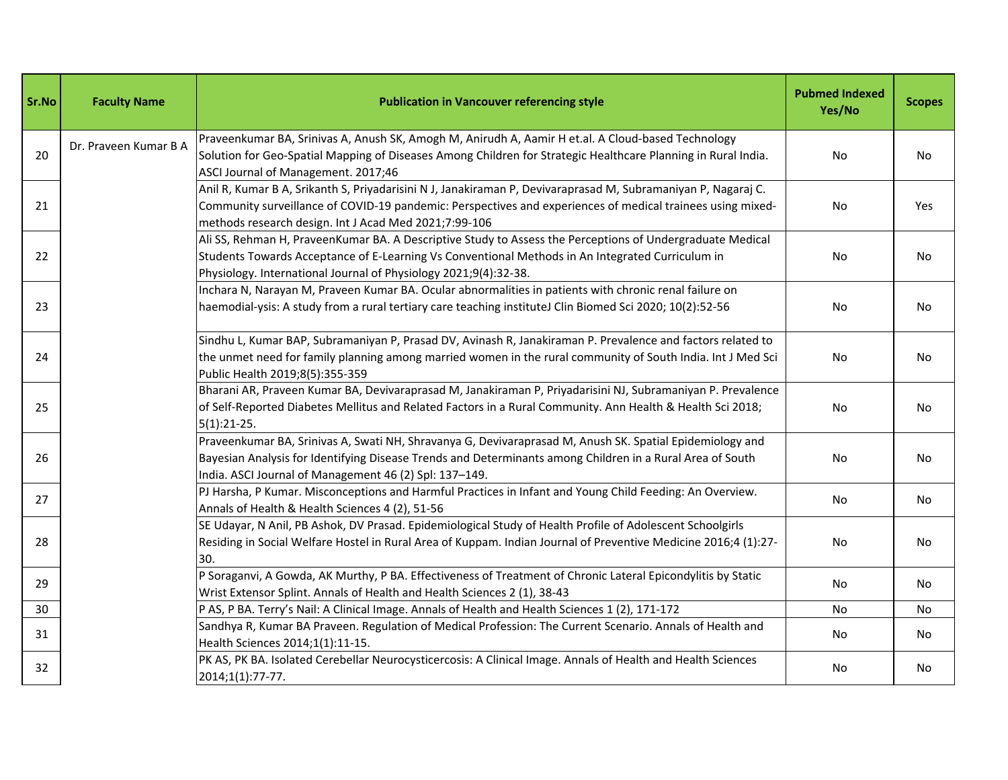| Sr.No | <b>Faculty Name</b>   | <b>Publication in Vancouver referencing style</b>                                                                                                                                                                                                                                    | <b>Pubmed Indexed</b><br>Yes/No | <b>Scopes</b> |
|-------|-----------------------|--------------------------------------------------------------------------------------------------------------------------------------------------------------------------------------------------------------------------------------------------------------------------------------|---------------------------------|---------------|
| 20    | Dr. Praveen Kumar B A | Praveenkumar BA, Srinivas A, Anush SK, Amogh M, Anirudh A, Aamir H et.al. A Cloud-based Technology<br>Solution for Geo-Spatial Mapping of Diseases Among Children for Strategic Healthcare Planning in Rural India.<br>ASCI Journal of Management. 2017;46                           | No                              | No            |
| 21    |                       | Anil R, Kumar B A, Srikanth S, Priyadarisini N J, Janakiraman P, Devivaraprasad M, Subramaniyan P, Nagaraj C.<br>Community surveillance of COVID-19 pandemic: Perspectives and experiences of medical trainees using mixed-<br>methods research design. Int J Acad Med 2021;7:99-106 | No                              | Yes           |
| 22    |                       | Ali SS, Rehman H, PraveenKumar BA. A Descriptive Study to Assess the Perceptions of Undergraduate Medical<br>Students Towards Acceptance of E-Learning Vs Conventional Methods in An Integrated Curriculum in<br>Physiology. International Journal of Physiology 2021;9(4):32-38.    | No                              | No.           |
| 23    |                       | Inchara N, Narayan M, Praveen Kumar BA. Ocular abnormalities in patients with chronic renal failure on<br>haemodial-ysis: A study from a rural tertiary care teaching instituteJ Clin Biomed Sci 2020; 10(2):52-56                                                                   | No                              | No            |
| 24    |                       | Sindhu L, Kumar BAP, Subramaniyan P, Prasad DV, Avinash R, Janakiraman P. Prevalence and factors related to<br>the unmet need for family planning among married women in the rural community of South India. Int J Med Sci<br>Public Health 2019;8(5):355-359                        | No                              | No            |
| 25    |                       | Bharani AR, Praveen Kumar BA, Devivaraprasad M, Janakiraman P, Priyadarisini NJ, Subramaniyan P. Prevalence<br>of Self-Reported Diabetes Mellitus and Related Factors in a Rural Community. Ann Health & Health Sci 2018;<br>$5(1):21-25.$                                           | No                              | No            |
| 26    |                       | Praveenkumar BA, Srinivas A, Swati NH, Shravanya G, Devivaraprasad M, Anush SK. Spatial Epidemiology and<br>Bayesian Analysis for Identifying Disease Trends and Determinants among Children in a Rural Area of South<br>India. ASCI Journal of Management 46 (2) Spl: 137-149.      | No                              | No            |
| 27    |                       | PJ Harsha, P Kumar. Misconceptions and Harmful Practices in Infant and Young Child Feeding: An Overview.<br>Annals of Health & Health Sciences 4 (2), 51-56                                                                                                                          | No                              | No            |
| 28    |                       | SE Udayar, N Anil, PB Ashok, DV Prasad. Epidemiological Study of Health Profile of Adolescent Schoolgirls<br>Residing in Social Welfare Hostel in Rural Area of Kuppam. Indian Journal of Preventive Medicine 2016;4 (1):27-<br>30.                                                  | No                              | No            |
| 29    |                       | P Soraganvi, A Gowda, AK Murthy, P BA. Effectiveness of Treatment of Chronic Lateral Epicondylitis by Static<br>Wrist Extensor Splint. Annals of Health and Health Sciences 2 (1), 38-43                                                                                             | No                              | No            |
| 30    |                       | P AS, P BA. Terry's Nail: A Clinical Image. Annals of Health and Health Sciences 1 (2), 171-172                                                                                                                                                                                      | No                              | No            |
| 31    |                       | Sandhya R, Kumar BA Praveen. Regulation of Medical Profession: The Current Scenario. Annals of Health and<br>Health Sciences 2014;1(1):11-15.                                                                                                                                        | No                              | No            |
| 32    |                       | PK AS, PK BA. Isolated Cerebellar Neurocysticercosis: A Clinical Image. Annals of Health and Health Sciences<br>2014;1(1):77-77.                                                                                                                                                     | No                              | No            |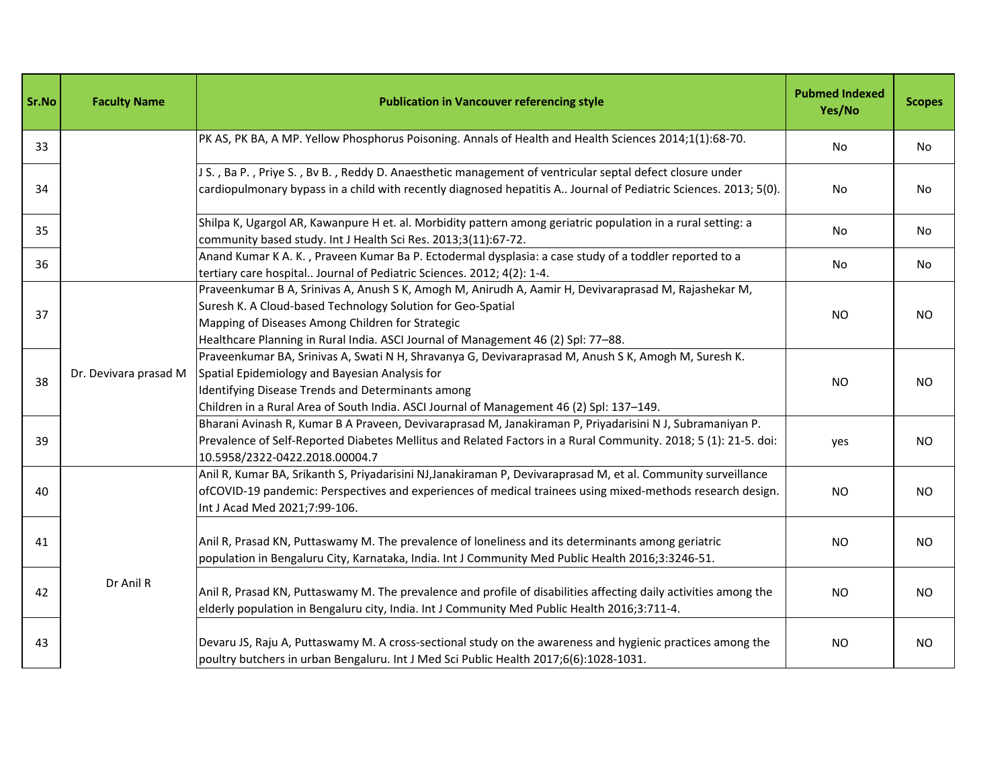| Sr.No | <b>Faculty Name</b>   | <b>Publication in Vancouver referencing style</b>                                                                                                                                                                                                                                                             | <b>Pubmed Indexed</b><br>Yes/No | <b>Scopes</b> |
|-------|-----------------------|---------------------------------------------------------------------------------------------------------------------------------------------------------------------------------------------------------------------------------------------------------------------------------------------------------------|---------------------------------|---------------|
| 33    |                       | PK AS, PK BA, A MP. Yellow Phosphorus Poisoning. Annals of Health and Health Sciences 2014;1(1):68-70.                                                                                                                                                                                                        | No                              | No            |
| 34    |                       | J S., Ba P., Priye S., Bv B., Reddy D. Anaesthetic management of ventricular septal defect closure under<br>cardiopulmonary bypass in a child with recently diagnosed hepatitis A Journal of Pediatric Sciences. 2013; 5(0).                                                                                  | No                              | No            |
| 35    |                       | Shilpa K, Ugargol AR, Kawanpure H et. al. Morbidity pattern among geriatric population in a rural setting: a<br>community based study. Int J Health Sci Res. 2013;3(11):67-72.                                                                                                                                | No                              | No            |
| 36    |                       | Anand Kumar K A. K., Praveen Kumar Ba P. Ectodermal dysplasia: a case study of a toddler reported to a<br>tertiary care hospital Journal of Pediatric Sciences. 2012; 4(2): 1-4.                                                                                                                              | No                              | No            |
| 37    |                       | Praveenkumar B A, Srinivas A, Anush S K, Amogh M, Anirudh A, Aamir H, Devivaraprasad M, Rajashekar M,<br>Suresh K. A Cloud-based Technology Solution for Geo-Spatial<br>Mapping of Diseases Among Children for Strategic<br>Healthcare Planning in Rural India. ASCI Journal of Management 46 (2) Spl: 77-88. | <b>NO</b>                       | <b>NO</b>     |
| 38    | Dr. Devivara prasad M | Praveenkumar BA, Srinivas A, Swati N H, Shravanya G, Devivaraprasad M, Anush S K, Amogh M, Suresh K.<br>Spatial Epidemiology and Bayesian Analysis for<br>Identifying Disease Trends and Determinants among<br>Children in a Rural Area of South India. ASCI Journal of Management 46 (2) Spl: 137-149.       | <b>NO</b>                       | <b>NO</b>     |
| 39    |                       | Bharani Avinash R, Kumar B A Praveen, Devivaraprasad M, Janakiraman P, Priyadarisini N J, Subramaniyan P.<br>Prevalence of Self-Reported Diabetes Mellitus and Related Factors in a Rural Community. 2018; 5 (1): 21-5. doi:<br>10.5958/2322-0422.2018.00004.7                                                | yes                             | <b>NO</b>     |
| 40    | Dr Anil R             | Anil R, Kumar BA, Srikanth S, Priyadarisini NJ, Janakiraman P, Devivaraprasad M, et al. Community surveillance<br>ofCOVID-19 pandemic: Perspectives and experiences of medical trainees using mixed-methods research design.<br>Int J Acad Med 2021;7:99-106.                                                 | <b>NO</b>                       | <b>NO</b>     |
| 41    |                       | Anil R, Prasad KN, Puttaswamy M. The prevalence of loneliness and its determinants among geriatric<br>population in Bengaluru City, Karnataka, India. Int J Community Med Public Health 2016;3:3246-51.                                                                                                       | <b>NO</b>                       | <b>NO</b>     |
| 42    |                       | Anil R, Prasad KN, Puttaswamy M. The prevalence and profile of disabilities affecting daily activities among the<br>elderly population in Bengaluru city, India. Int J Community Med Public Health 2016;3:711-4.                                                                                              | <b>NO</b>                       | <b>NO</b>     |
| 43    |                       | Devaru JS, Raju A, Puttaswamy M. A cross-sectional study on the awareness and hygienic practices among the<br>poultry butchers in urban Bengaluru. Int J Med Sci Public Health 2017;6(6):1028-1031.                                                                                                           | <b>NO</b>                       | <b>NO</b>     |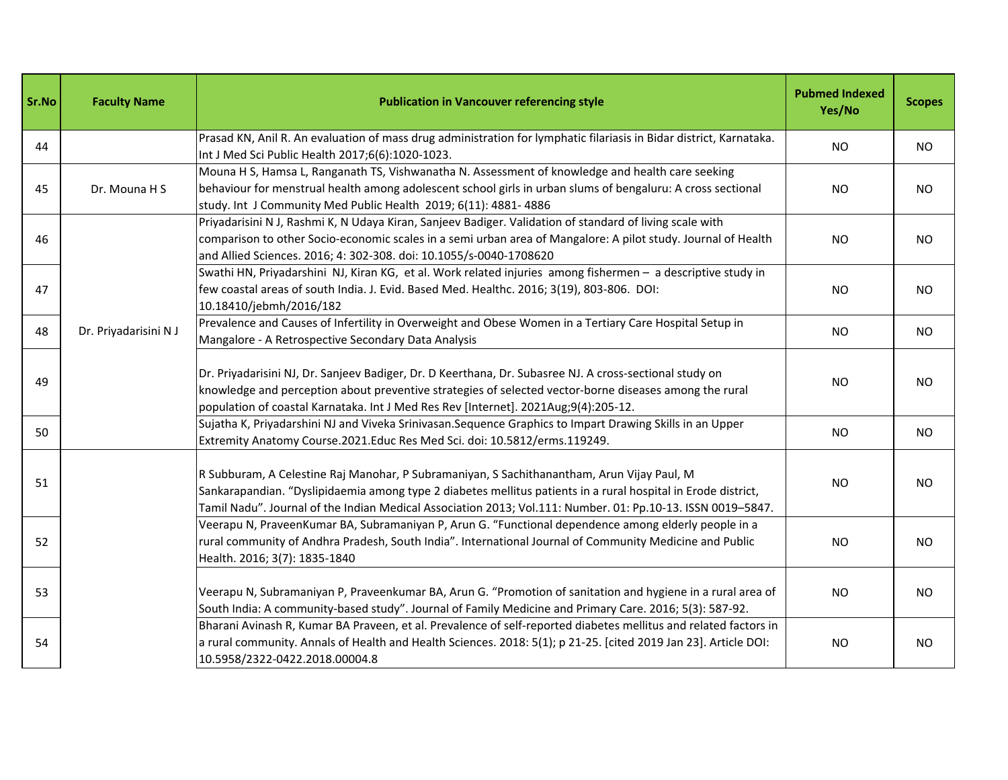| Sr.No | <b>Faculty Name</b>   | <b>Publication in Vancouver referencing style</b>                                                                                                                                                                                                                                                                          | <b>Pubmed Indexed</b><br>Yes/No | <b>Scopes</b> |
|-------|-----------------------|----------------------------------------------------------------------------------------------------------------------------------------------------------------------------------------------------------------------------------------------------------------------------------------------------------------------------|---------------------------------|---------------|
| 44    |                       | Prasad KN, Anil R. An evaluation of mass drug administration for lymphatic filariasis in Bidar district, Karnataka.<br>Int J Med Sci Public Health 2017;6(6):1020-1023.                                                                                                                                                    | <b>NO</b>                       | <b>NO</b>     |
| 45    | Dr. Mouna H S         | Mouna H S, Hamsa L, Ranganath TS, Vishwanatha N. Assessment of knowledge and health care seeking<br>behaviour for menstrual health among adolescent school girls in urban slums of bengaluru: A cross sectional<br>study. Int J Community Med Public Health 2019; 6(11): 4881- 4886                                        | <b>NO</b>                       | <b>NO</b>     |
| 46    |                       | Priyadarisini N J, Rashmi K, N Udaya Kiran, Sanjeev Badiger. Validation of standard of living scale with<br>comparison to other Socio-economic scales in a semi urban area of Mangalore: A pilot study. Journal of Health<br>and Allied Sciences. 2016; 4: 302-308. doi: 10.1055/s-0040-1708620                            | <b>NO</b>                       | <b>NO</b>     |
| 47    |                       | Swathi HN, Priyadarshini NJ, Kiran KG, et al. Work related injuries among fishermen - a descriptive study in<br>few coastal areas of south India. J. Evid. Based Med. Healthc. 2016; 3(19), 803-806. DOI:<br>10.18410/jebmh/2016/182                                                                                       | <b>NO</b>                       | NO.           |
| 48    | Dr. Priyadarisini N J | Prevalence and Causes of Infertility in Overweight and Obese Women in a Tertiary Care Hospital Setup in<br>Mangalore - A Retrospective Secondary Data Analysis                                                                                                                                                             | <b>NO</b>                       | <b>NO</b>     |
| 49    |                       | Dr. Priyadarisini NJ, Dr. Sanjeev Badiger, Dr. D Keerthana, Dr. Subasree NJ. A cross-sectional study on<br>knowledge and perception about preventive strategies of selected vector-borne diseases among the rural<br>population of coastal Karnataka. Int J Med Res Rev [Internet]. 2021Aug;9(4):205-12.                   | <b>NO</b>                       | <b>NO</b>     |
| 50    |                       | Sujatha K, Priyadarshini NJ and Viveka Srinivasan. Sequence Graphics to Impart Drawing Skills in an Upper<br>Extremity Anatomy Course.2021.Educ Res Med Sci. doi: 10.5812/erms.119249.                                                                                                                                     | <b>NO</b>                       | <b>NO</b>     |
| 51    |                       | R Subburam, A Celestine Raj Manohar, P Subramaniyan, S Sachithanantham, Arun Vijay Paul, M<br>Sankarapandian. "Dyslipidaemia among type 2 diabetes mellitus patients in a rural hospital in Erode district,<br>Tamil Nadu". Journal of the Indian Medical Association 2013; Vol.111: Number. 01: Pp.10-13. ISSN 0019-5847. | NO.                             | <b>NO</b>     |
| 52    |                       | Veerapu N, PraveenKumar BA, Subramaniyan P, Arun G. "Functional dependence among elderly people in a<br>rural community of Andhra Pradesh, South India". International Journal of Community Medicine and Public<br>Health. 2016; 3(7): 1835-1840                                                                           | <b>NO</b>                       | <b>NO</b>     |
| 53    |                       | Veerapu N, Subramaniyan P, Praveenkumar BA, Arun G. "Promotion of sanitation and hygiene in a rural area of<br>South India: A community-based study". Journal of Family Medicine and Primary Care. 2016; 5(3): 587-92.                                                                                                     | NO.                             | <b>NO</b>     |
| 54    |                       | Bharani Avinash R, Kumar BA Praveen, et al. Prevalence of self-reported diabetes mellitus and related factors in<br>a rural community. Annals of Health and Health Sciences. 2018: 5(1); p 21-25. [cited 2019 Jan 23]. Article DOI:<br>10.5958/2322-0422.2018.00004.8                                                      | <b>NO</b>                       | <b>NO</b>     |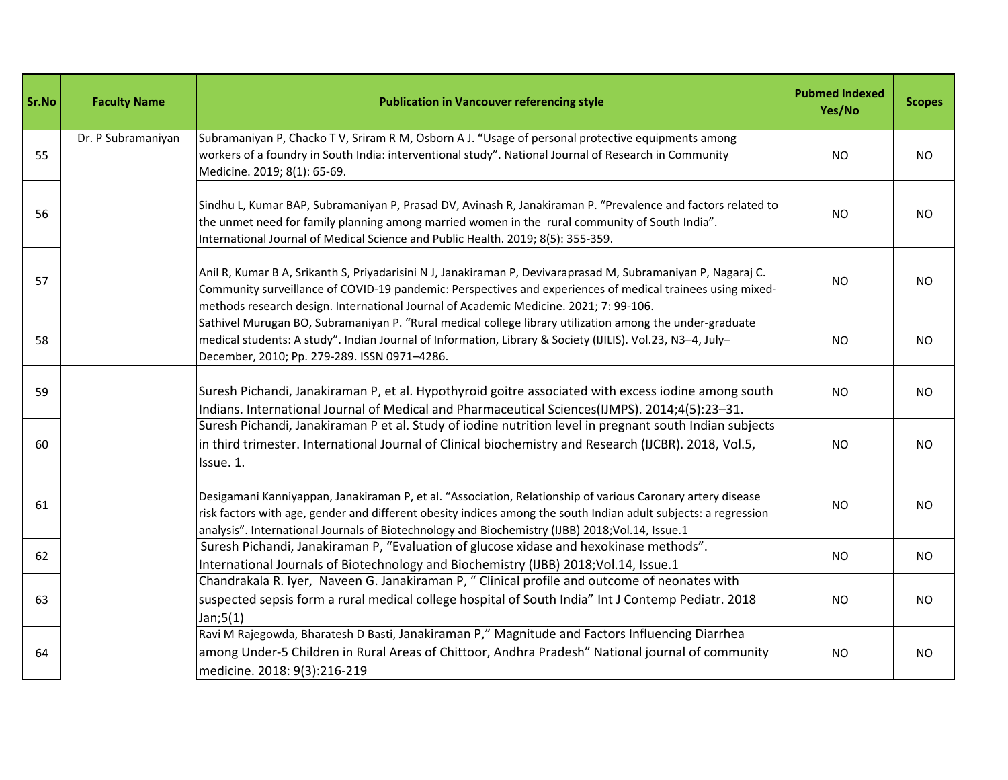| Sr.No | <b>Faculty Name</b> | <b>Publication in Vancouver referencing style</b>                                                                                                                                                                                                                                                                                  | <b>Pubmed Indexed</b><br>Yes/No | <b>Scopes</b> |
|-------|---------------------|------------------------------------------------------------------------------------------------------------------------------------------------------------------------------------------------------------------------------------------------------------------------------------------------------------------------------------|---------------------------------|---------------|
| 55    | Dr. P Subramaniyan  | Subramaniyan P, Chacko T V, Sriram R M, Osborn A J. "Usage of personal protective equipments among<br>workers of a foundry in South India: interventional study". National Journal of Research in Community<br>Medicine. 2019; 8(1): 65-69.                                                                                        | NO                              | <b>NO</b>     |
| 56    |                     | Sindhu L, Kumar BAP, Subramaniyan P, Prasad DV, Avinash R, Janakiraman P. "Prevalence and factors related to<br>the unmet need for family planning among married women in the rural community of South India".<br>International Journal of Medical Science and Public Health. 2019; 8(5): 355-359.                                 | <b>NO</b>                       | <b>NO</b>     |
| 57    |                     | Anil R, Kumar B A, Srikanth S, Priyadarisini N J, Janakiraman P, Devivaraprasad M, Subramaniyan P, Nagaraj C.<br>Community surveillance of COVID-19 pandemic: Perspectives and experiences of medical trainees using mixed-<br>methods research design. International Journal of Academic Medicine. 2021; 7: 99-106.               | <b>NO</b>                       | <b>NO</b>     |
| 58    |                     | Sathivel Murugan BO, Subramaniyan P. "Rural medical college library utilization among the under-graduate<br>medical students: A study". Indian Journal of Information, Library & Society (IJILIS). Vol.23, N3-4, July-<br>December, 2010; Pp. 279-289. ISSN 0971-4286.                                                             | <b>NO</b>                       | NO.           |
| 59    |                     | Suresh Pichandi, Janakiraman P, et al. Hypothyroid goitre associated with excess iodine among south<br>Indians. International Journal of Medical and Pharmaceutical Sciences(IJMPS). 2014;4(5):23-31.                                                                                                                              | <b>NO</b>                       | <b>NO</b>     |
| 60    |                     | Suresh Pichandi, Janakiraman P et al. Study of iodine nutrition level in pregnant south Indian subjects<br>in third trimester. International Journal of Clinical biochemistry and Research (IJCBR). 2018, Vol.5,<br>Issue. 1.                                                                                                      | <b>NO</b>                       | <b>NO</b>     |
| 61    |                     | Desigamani Kanniyappan, Janakiraman P, et al. "Association, Relationship of various Caronary artery disease<br>risk factors with age, gender and different obesity indices among the south Indian adult subjects: a regression<br>analysis". International Journals of Biotechnology and Biochemistry (IJBB) 2018; Vol.14, Issue.1 | <b>NO</b>                       | <b>NO</b>     |
| 62    |                     | Suresh Pichandi, Janakiraman P, "Evaluation of glucose xidase and hexokinase methods".<br>International Journals of Biotechnology and Biochemistry (IJBB) 2018;Vol.14, Issue.1                                                                                                                                                     | <b>NO</b>                       | <b>NO</b>     |
| 63    |                     | Chandrakala R. Iyer, Naveen G. Janakiraman P, " Clinical profile and outcome of neonates with<br>suspected sepsis form a rural medical college hospital of South India" Int J Contemp Pediatr. 2018<br>Jan;5(1)                                                                                                                    | NO                              | NO.           |
| 64    |                     | Ravi M Rajegowda, Bharatesh D Basti, Janakiraman P," Magnitude and Factors Influencing Diarrhea<br>among Under-5 Children in Rural Areas of Chittoor, Andhra Pradesh" National journal of community<br>medicine. 2018: 9(3):216-219                                                                                                | <b>NO</b>                       | <b>NO</b>     |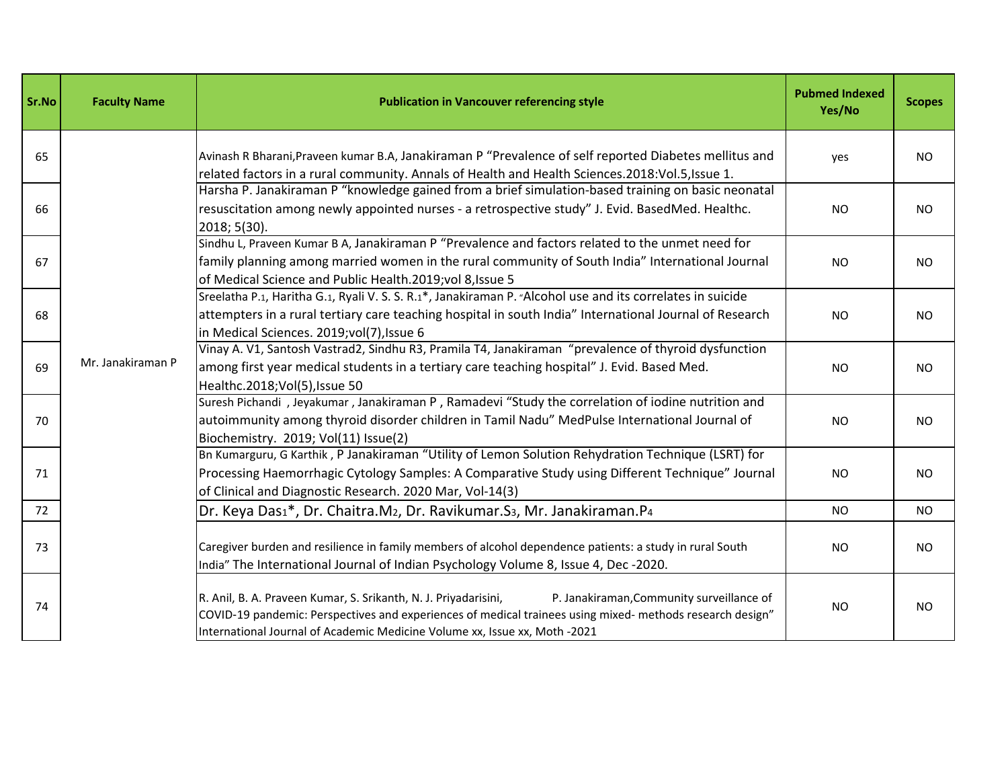| Sr.No | <b>Faculty Name</b> | <b>Publication in Vancouver referencing style</b>                                                                                                                                                                                                                                                       | <b>Pubmed Indexed</b><br>Yes/No | <b>Scopes</b> |
|-------|---------------------|---------------------------------------------------------------------------------------------------------------------------------------------------------------------------------------------------------------------------------------------------------------------------------------------------------|---------------------------------|---------------|
| 65    |                     | Avinash R Bharani, Praveen kumar B.A, Janakiraman P "Prevalence of self reported Diabetes mellitus and<br>related factors in a rural community. Annals of Health and Health Sciences.2018:Vol.5, Issue 1.                                                                                               | yes                             | <b>NO</b>     |
| 66    |                     | Harsha P. Janakiraman P "knowledge gained from a brief simulation-based training on basic neonatal<br>resuscitation among newly appointed nurses - a retrospective study" J. Evid. BasedMed. Healthc.<br>2018; 5(30).                                                                                   | <b>NO</b>                       | <b>NO</b>     |
| 67    |                     | Sindhu L, Praveen Kumar B A, Janakiraman P "Prevalence and factors related to the unmet need for<br>family planning among married women in the rural community of South India" International Journal<br>of Medical Science and Public Health.2019; vol 8, Issue 5                                       | NO.                             | <b>NO</b>     |
| 68    |                     | Sreelatha P.1, Haritha G.1, Ryali V. S. S. R.1*, Janakiraman P. "Alcohol use and its correlates in suicide<br>attempters in a rural tertiary care teaching hospital in south India" International Journal of Research<br>in Medical Sciences. 2019;vol(7), Issue 6                                      | <b>NO</b>                       | <b>NO</b>     |
| 69    | Mr. Janakiraman P   | Vinay A. V1, Santosh Vastrad2, Sindhu R3, Pramila T4, Janakiraman "prevalence of thyroid dysfunction<br>among first year medical students in a tertiary care teaching hospital" J. Evid. Based Med.<br>Healthc.2018; Vol(5), Issue 50                                                                   | <b>NO</b>                       | <b>NO</b>     |
| 70    |                     | Suresh Pichandi, Jeyakumar, Janakiraman P, Ramadevi "Study the correlation of iodine nutrition and<br>autoimmunity among thyroid disorder children in Tamil Nadu" MedPulse International Journal of<br>Biochemistry. 2019; Vol(11) Issue(2)                                                             | <b>NO</b>                       | <b>NO</b>     |
| 71    |                     | Bn Kumarguru, G Karthik, P Janakiraman "Utility of Lemon Solution Rehydration Technique (LSRT) for<br>Processing Haemorrhagic Cytology Samples: A Comparative Study using Different Technique" Journal<br>of Clinical and Diagnostic Research. 2020 Mar, Vol-14(3)                                      | <b>NO</b>                       | <b>NO</b>     |
| 72    |                     | Dr. Keya Das1*, Dr. Chaitra.M2, Dr. Ravikumar.S3, Mr. Janakiraman.P4                                                                                                                                                                                                                                    | <b>NO</b>                       | <b>NO</b>     |
| 73    |                     | Caregiver burden and resilience in family members of alcohol dependence patients: a study in rural South<br>India" The International Journal of Indian Psychology Volume 8, Issue 4, Dec -2020.                                                                                                         | <b>NO</b>                       | <b>NO</b>     |
| 74    |                     | R. Anil, B. A. Praveen Kumar, S. Srikanth, N. J. Priyadarisini,<br>P. Janakiraman, Community surveillance of<br>COVID-19 pandemic: Perspectives and experiences of medical trainees using mixed- methods research design"<br>International Journal of Academic Medicine Volume xx, Issue xx, Moth -2021 | <b>NO</b>                       | <b>NO</b>     |